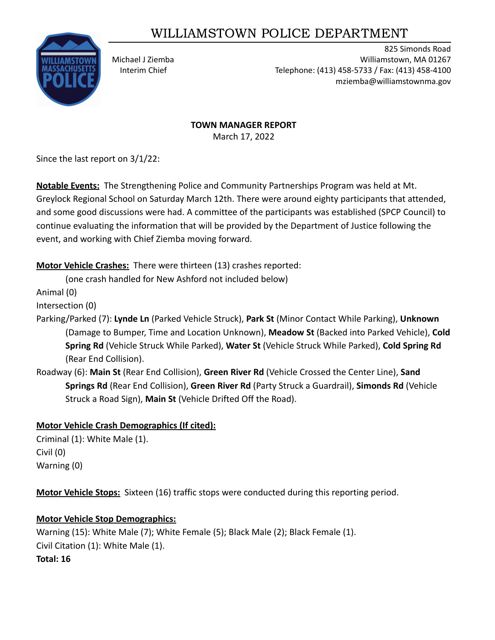# WILLIAMSTOWN POLICE DEPARTMENT



825 Simonds Road Michael J Ziemba Williamstown, MA 01267 Interim Chief Telephone: (413) 458-5733 / Fax: (413) 458-4100 mziemba@williamstownma.gov

#### **TOWN MANAGER REPORT**

March 17, 2022

Since the last report on 3/1/22:

**Notable Events:** The Strengthening Police and Community Partnerships Program was held at Mt. Greylock Regional School on Saturday March 12th. There were around eighty participants that attended, and some good discussions were had. A committee of the participants was established (SPCP Council) to continue evaluating the information that will be provided by the Department of Justice following the event, and working with Chief Ziemba moving forward.

**Motor Vehicle Crashes:** There were thirteen (13) crashes reported:

(one crash handled for New Ashford not included below)

Animal (0)

Intersection (0)

- Parking/Parked (7): **Lynde Ln** (Parked Vehicle Struck), **Park St** (Minor Contact While Parking), **Unknown** (Damage to Bumper, Time and Location Unknown), **Meadow St** (Backed into Parked Vehicle), **Cold Spring Rd** (Vehicle Struck While Parked), **Water St** (Vehicle Struck While Parked), **Cold Spring Rd** (Rear End Collision).
- Roadway (6): **Main St** (Rear End Collision), **Green River Rd** (Vehicle Crossed the Center Line), **Sand Springs Rd** (Rear End Collision), **Green River Rd** (Party Struck a Guardrail), **Simonds Rd** (Vehicle Struck a Road Sign), **Main St** (Vehicle Drifted Off the Road).

#### **Motor Vehicle Crash Demographics (If cited):**

Criminal (1): White Male (1). Civil (0) Warning (0)

**Motor Vehicle Stops:** Sixteen (16) traffic stops were conducted during this reporting period.

#### **Motor Vehicle Stop Demographics:**

Warning (15): White Male (7); White Female (5); Black Male (2); Black Female (1). Civil Citation (1): White Male (1). **Total: 16**